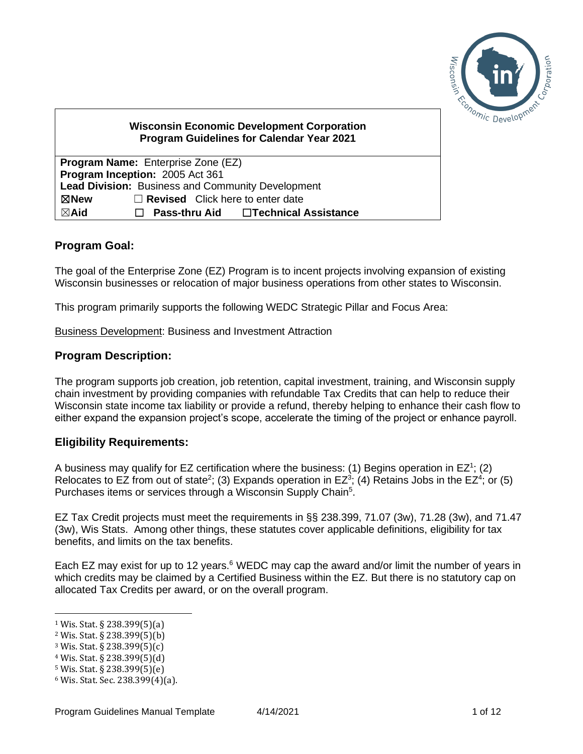

# **Wisconsin Economic Development Corporation Program Guidelines for Calendar Year 2021 Program Name:** Enterprise Zone (EZ) **Program Inception:** 2005 Act 361 **Lead Division:** Business and Community Development ☒**New** ☐ **Revised** Click here to enter date ☒**Aid** ☐ **Pass-thru Aid** ☐**Technical Assistance**

## **Program Goal:**

The goal of the Enterprise Zone (EZ) Program is to incent projects involving expansion of existing Wisconsin businesses or relocation of major business operations from other states to Wisconsin.

This program primarily supports the following WEDC Strategic Pillar and Focus Area:

Business Development: Business and Investment Attraction

#### **Program Description:**

The program supports job creation, job retention, capital investment, training, and Wisconsin supply chain investment by providing companies with refundable Tax Credits that can help to reduce their Wisconsin state income tax liability or provide a refund, thereby helping to enhance their cash flow to either expand the expansion project's scope, accelerate the timing of the project or enhance payroll.

## **Eligibility Requirements:**

A business may qualify for EZ certification where the business: (1) Begins operation in EZ<sup>1</sup>; (2) Relocates to EZ from out of state<sup>2</sup>; (3) Expands operation in EZ<sup>3</sup>; (4) Retains Jobs in the EZ<sup>4</sup>; or (5) Purchases items or services through a Wisconsin Supply Chain<sup>5</sup>.

EZ Tax Credit projects must meet the requirements in §§ 238.399, 71.07 (3w), 71.28 (3w), and 71.47 (3w), Wis Stats. Among other things, these statutes cover applicable definitions, eligibility for tax benefits, and limits on the tax benefits.

Each EZ may exist for up to 12 years. $6$  WEDC may cap the award and/or limit the number of years in which credits may be claimed by a Certified Business within the EZ. But there is no statutory cap on allocated Tax Credits per award, or on the overall program.

<sup>1</sup> Wis. Stat. § 238.399(5)(a)

<sup>2</sup> Wis. Stat. § 238.399(5)(b)

<sup>3</sup> Wis. Stat. § 238.399(5)(c)

<sup>4</sup> Wis. Stat. § 238.399(5)(d)

<sup>5</sup> Wis. Stat. § 238.399(5)(e)

<sup>6</sup> Wis. Stat. Sec. 238.399(4)(a).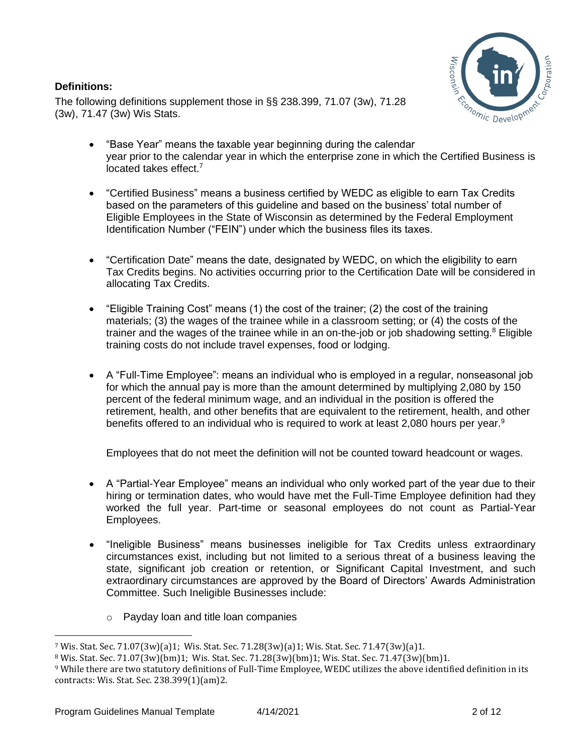#### **Definitions:**

Wisconsin <sup>O</sup>rporation Conomic Development

The following definitions supplement those in §§ 238.399, 71.07 (3w), 71.28 (3w), 71.47 (3w) Wis Stats.

- "Base Year" means the taxable year beginning during the calendar year prior to the calendar year in which the enterprise zone in which the Certified Business is located takes effect.<sup>7</sup>
- "Certified Business" means a business certified by WEDC as eligible to earn Tax Credits based on the parameters of this guideline and based on the business' total number of Eligible Employees in the State of Wisconsin as determined by the Federal Employment Identification Number ("FEIN") under which the business files its taxes.
- "Certification Date" means the date, designated by WEDC, on which the eligibility to earn Tax Credits begins. No activities occurring prior to the Certification Date will be considered in allocating Tax Credits.
- "Eligible Training Cost" means (1) the cost of the trainer; (2) the cost of the training materials; (3) the wages of the trainee while in a classroom setting; or (4) the costs of the trainer and the wages of the trainee while in an on-the-job or job shadowing setting.<sup>8</sup> Eligible training costs do not include travel expenses, food or lodging.
- A "Full-Time Employee": means an individual who is employed in a regular, nonseasonal job for which the annual pay is more than the amount determined by multiplying 2,080 by 150 percent of the federal minimum wage, and an individual in the position is offered the retirement, health, and other benefits that are equivalent to the retirement, health, and other benefits offered to an individual who is required to work at least 2,080 hours per year.<sup>9</sup>

Employees that do not meet the definition will not be counted toward headcount or wages.

- A "Partial-Year Employee" means an individual who only worked part of the year due to their hiring or termination dates, who would have met the Full-Time Employee definition had they worked the full year. Part-time or seasonal employees do not count as Partial-Year Employees.
- "Ineligible Business" means businesses ineligible for Tax Credits unless extraordinary circumstances exist, including but not limited to a serious threat of a business leaving the state, significant job creation or retention, or Significant Capital Investment, and such extraordinary circumstances are approved by the Board of Directors' Awards Administration Committee. Such Ineligible Businesses include:
	- o Payday loan and title loan companies

<sup>7</sup> Wis. Stat. Sec. 71.07(3w)(a)1; Wis. Stat. Sec. 71.28(3w)(a)1; Wis. Stat. Sec. 71.47(3w)(a)1.

<sup>8</sup> Wis. Stat. Sec. 71.07(3w)(bm)1; Wis. Stat. Sec. 71.28(3w)(bm)1; Wis. Stat. Sec. 71.47(3w)(bm)1.

<sup>9</sup> While there are two statutory definitions of Full-Time Employee, WEDC utilizes the above identified definition in its contracts: Wis. Stat. Sec. 238.399(1)(am)2.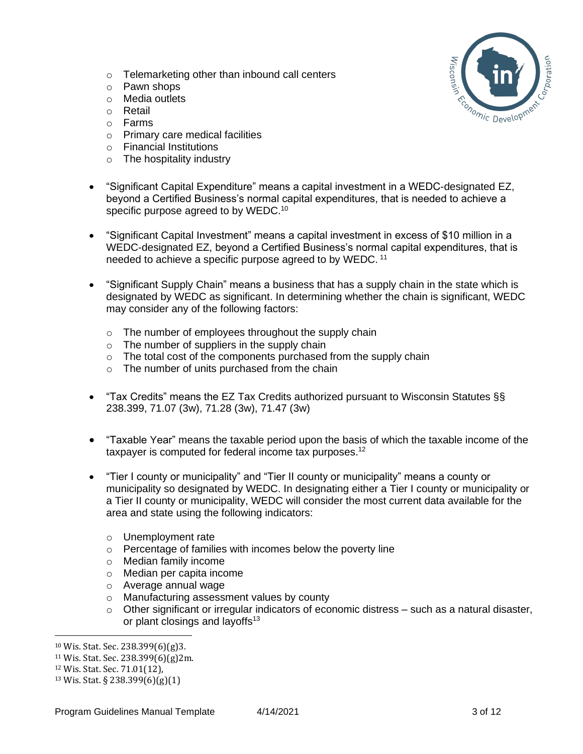- o Telemarketing other than inbound call centers
- o Pawn shops
- o Media outlets
- o Retail
- o Farms
- o Primary care medical facilities
- o Financial Institutions
- $\circ$  The hospitality industry
- "Significant Capital Expenditure" means a capital investment in a WEDC-designated EZ, beyond a Certified Business's normal capital expenditures, that is needed to achieve a specific purpose agreed to by WEDC.<sup>10</sup>
- "Significant Capital Investment" means a capital investment in excess of \$10 million in a WEDC-designated EZ, beyond a Certified Business's normal capital expenditures, that is needed to achieve a specific purpose agreed to by WEDC. <sup>11</sup>
- "Significant Supply Chain" means a business that has a supply chain in the state which is designated by WEDC as significant. In determining whether the chain is significant, WEDC may consider any of the following factors:
	- o The number of employees throughout the supply chain
	- $\circ$  The number of suppliers in the supply chain
	- $\circ$  The total cost of the components purchased from the supply chain
	- o The number of units purchased from the chain
- "Tax Credits" means the EZ Tax Credits authorized pursuant to Wisconsin Statutes §§ 238.399, 71.07 (3w), 71.28 (3w), 71.47 (3w)
- "Taxable Year" means the taxable period upon the basis of which the taxable income of the taxpayer is computed for federal income tax purposes.<sup>12</sup>
- "Tier I county or municipality" and "Tier II county or municipality" means a county or municipality so designated by WEDC. In designating either a Tier I county or municipality or a Tier II county or municipality, WEDC will consider the most current data available for the area and state using the following indicators:
	- o Unemployment rate
	- o Percentage of families with incomes below the poverty line
	- o Median family income
	- o Median per capita income
	- o Average annual wage
	- o Manufacturing assessment values by county
	- $\circ$  Other significant or irregular indicators of economic distress such as a natural disaster, or plant closings and layoffs $13$



<sup>10</sup> Wis. Stat. Sec. 238.399(6)(g)3.

<sup>11</sup> Wis. Stat. Sec. 238.399(6)(g)2m.

<sup>12</sup> Wis. Stat. Sec. 71.01(12),

<sup>13</sup> Wis. Stat. § 238.399(6)(g)(1)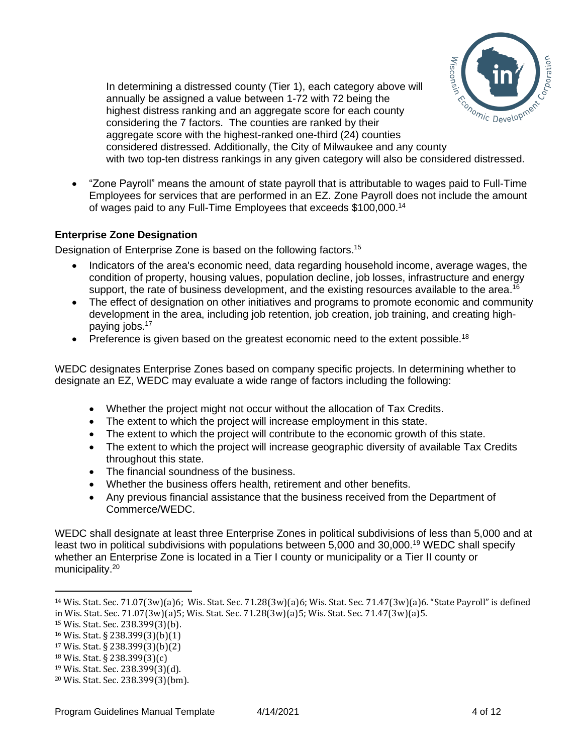

In determining a distressed county (Tier 1), each category above will annually be assigned a value between 1-72 with 72 being the highest distress ranking and an aggregate score for each county considering the 7 factors. The counties are ranked by their aggregate score with the highest-ranked one-third (24) counties considered distressed. Additionally, the City of Milwaukee and any county with two top-ten distress rankings in any given category will also be considered distressed.

• "Zone Payroll" means the amount of state payroll that is attributable to wages paid to Full-Time Employees for services that are performed in an EZ. Zone Payroll does not include the amount of wages paid to any Full-Time Employees that exceeds \$100,000.<sup>14</sup>

#### **Enterprise Zone Designation**

Designation of Enterprise Zone is based on the following factors.<sup>15</sup>

- Indicators of the area's economic need, data regarding household income, average wages, the condition of property, housing values, population decline, job losses, infrastructure and energy support, the rate of business development, and the existing resources available to the area.<sup>16</sup>
- The effect of designation on other initiatives and programs to promote economic and community development in the area, including job retention, job creation, job training, and creating highpaying jobs.<sup>17</sup>
- Preference is given based on the greatest economic need to the extent possible.<sup>18</sup>

WEDC designates Enterprise Zones based on company specific projects. In determining whether to designate an EZ, WEDC may evaluate a wide range of factors including the following:

- Whether the project might not occur without the allocation of Tax Credits.
- The extent to which the project will increase employment in this state.
- The extent to which the project will contribute to the economic growth of this state.
- The extent to which the project will increase geographic diversity of available Tax Credits throughout this state.
- The financial soundness of the business.
- Whether the business offers health, retirement and other benefits.
- Any previous financial assistance that the business received from the Department of Commerce/WEDC.

WEDC shall designate at least three Enterprise Zones in political subdivisions of less than 5,000 and at least two in political subdivisions with populations between 5,000 and 30,000.<sup>19</sup> WEDC shall specify whether an Enterprise Zone is located in a Tier I county or municipality or a Tier II county or municipality.<sup>20</sup>

<sup>14</sup> Wis. Stat. Sec. 71.07(3w)(a)6; Wis. Stat. Sec. 71.28(3w)(a)6; Wis. Stat. Sec. 71.47(3w)(a)6. "State Payroll" is defined in Wis. Stat. Sec. 71.07(3w)(a)5; Wis. Stat. Sec. 71.28(3w)(a)5; Wis. Stat. Sec. 71.47(3w)(a)5.

<sup>15</sup> Wis. Stat. Sec. 238.399(3)(b).

<sup>16</sup> Wis. Stat. § 238.399(3)(b)(1)

<sup>17</sup> Wis. Stat. § 238.399(3)(b)(2)

<sup>18</sup> Wis. Stat. § 238.399(3)(c)

<sup>19</sup> Wis. Stat. Sec. 238.399(3)(d).

<sup>20</sup> Wis. Stat. Sec. 238.399(3)(bm).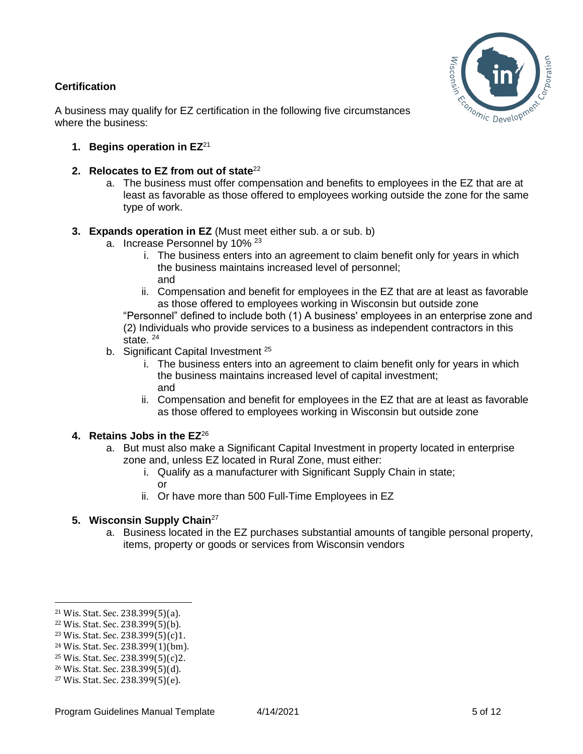#### **Certification**

Wisconsin oratio Ronomic Development

A business may qualify for EZ certification in the following five circumstances where the business:

- **1. Begins operation in EZ**<sup>21</sup>
- **2. Relocates to EZ from out of state**<sup>22</sup>
	- a. The business must offer compensation and benefits to employees in the EZ that are at least as favorable as those offered to employees working outside the zone for the same type of work.
- **3. Expands operation in EZ** (Must meet either sub. a or sub. b)
	- a. Increase Personnel by 10%<sup>23</sup>
		- i. The business enters into an agreement to claim benefit only for years in which the business maintains increased level of personnel; and
		- ii. Compensation and benefit for employees in the EZ that are at least as favorable as those offered to employees working in Wisconsin but outside zone

"Personnel" defined to include both (1) A business' employees in an enterprise zone and (2) Individuals who provide services to a business as independent contractors in this state. <sup>24</sup>

- b. Significant Capital Investment <sup>25</sup>
	- i. The business enters into an agreement to claim benefit only for years in which the business maintains increased level of capital investment; and
	- ii. Compensation and benefit for employees in the EZ that are at least as favorable as those offered to employees working in Wisconsin but outside zone

## **4. Retains Jobs in the EZ**<sup>26</sup>

- a. But must also make a Significant Capital Investment in property located in enterprise zone and, unless EZ located in Rural Zone, must either:
	- i. Qualify as a manufacturer with Significant Supply Chain in state; or
	- ii. Or have more than 500 Full-Time Employees in EZ

## **5. Wisconsin Supply Chain**<sup>27</sup>

a. Business located in the EZ purchases substantial amounts of tangible personal property, items, property or goods or services from Wisconsin vendors

<sup>21</sup> Wis. Stat. Sec. 238.399(5)(a).

<sup>22</sup> Wis. Stat. Sec. 238.399(5)(b).

<sup>23</sup> Wis. Stat. Sec. 238.399(5)(c)1.

<sup>24</sup> Wis. Stat. Sec. 238.399(1)(bm).

<sup>25</sup> Wis. Stat. Sec. 238.399(5)(c)2.

<sup>26</sup> Wis. Stat. Sec. 238.399(5)(d).

<sup>27</sup> Wis. Stat. Sec. 238.399(5)(e).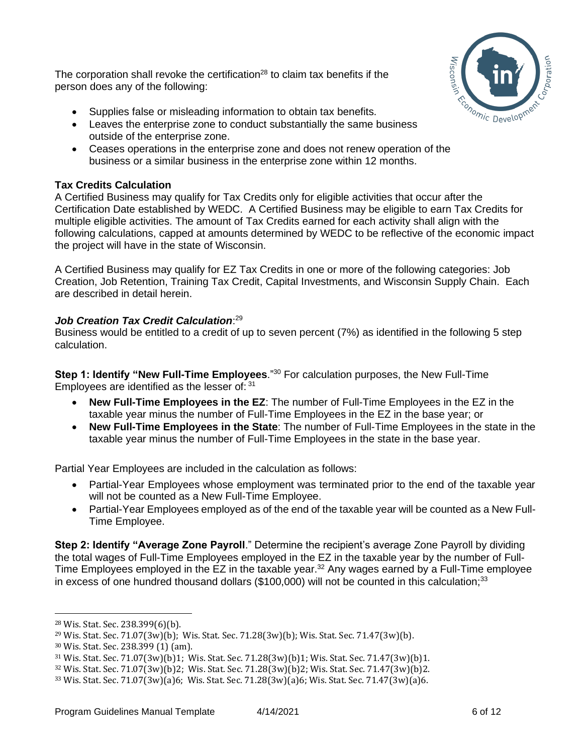The corporation shall revoke the certification<sup>28</sup> to claim tax benefits if the person does any of the following:



- Supplies false or misleading information to obtain tax benefits.
- Leaves the enterprise zone to conduct substantially the same business outside of the enterprise zone.
- Ceases operations in the enterprise zone and does not renew operation of the business or a similar business in the enterprise zone within 12 months.

## **Tax Credits Calculation**

A Certified Business may qualify for Tax Credits only for eligible activities that occur after the Certification Date established by WEDC. A Certified Business may be eligible to earn Tax Credits for multiple eligible activities. The amount of Tax Credits earned for each activity shall align with the following calculations, capped at amounts determined by WEDC to be reflective of the economic impact the project will have in the state of Wisconsin.

A Certified Business may qualify for EZ Tax Credits in one or more of the following categories: Job Creation, Job Retention, Training Tax Credit, Capital Investments, and Wisconsin Supply Chain. Each are described in detail herein.

## *Job Creation Tax Credit Calculation*: 29

Business would be entitled to a credit of up to seven percent (7%) as identified in the following 5 step calculation.

**Step 1: Identify "New Full-Time Employees.**"<sup>30</sup> For calculation purposes, the New Full-Time Employees are identified as the lesser of: <sup>31</sup>

- **New Full-Time Employees in the EZ**: The number of Full-Time Employees in the EZ in the taxable year minus the number of Full-Time Employees in the EZ in the base year; or
- **New Full-Time Employees in the State**: The number of Full-Time Employees in the state in the taxable year minus the number of Full-Time Employees in the state in the base year.

Partial Year Employees are included in the calculation as follows:

- Partial-Year Employees whose employment was terminated prior to the end of the taxable year will not be counted as a New Full-Time Employee.
- Partial-Year Employees employed as of the end of the taxable year will be counted as a New Full-Time Employee.

**Step 2: Identify "Average Zone Payroll**." Determine the recipient's average Zone Payroll by dividing the total wages of Full-Time Employees employed in the EZ in the taxable year by the number of Full-Time Employees employed in the EZ in the taxable year.<sup>32</sup> Any wages earned by a Full-Time employee in excess of one hundred thousand dollars (\$100,000) will not be counted in this calculation; $^{33}$ 

<sup>28</sup> Wis. Stat. Sec. 238.399(6)(b).

<sup>&</sup>lt;sup>29</sup> Wis. Stat. Sec. 71.07(3w)(b); Wis. Stat. Sec. 71.28(3w)(b); Wis. Stat. Sec. 71.47(3w)(b).

<sup>30</sup> Wis. Stat. Sec. 238.399 (1) (am).

<sup>31</sup> Wis. Stat. Sec. 71.07(3w)(b)1; Wis. Stat. Sec. 71.28(3w)(b)1; Wis. Stat. Sec. 71.47(3w)(b)1.

<sup>32</sup> Wis. Stat. Sec. 71.07(3w)(b)2; Wis. Stat. Sec. 71.28(3w)(b)2; Wis. Stat. Sec. 71.47(3w)(b)2.

<sup>33</sup> Wis. Stat. Sec. 71.07(3w)(a)6; Wis. Stat. Sec. 71.28(3w)(a)6; Wis. Stat. Sec. 71.47(3w)(a)6.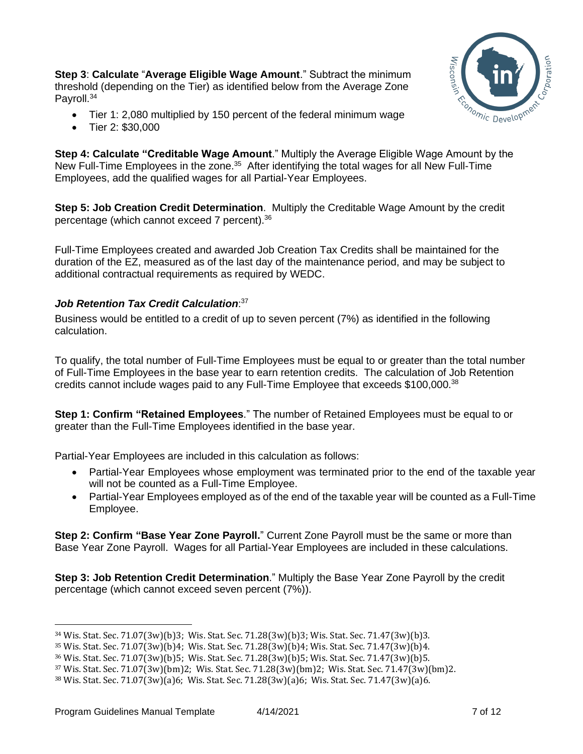**Step 3**: **Calculate** "**Average Eligible Wage Amount**." Subtract the minimum threshold (depending on the Tier) as identified below from the Average Zone Payroll.<sup>34</sup>

• Tier 1: 2,080 multiplied by 150 percent of the federal minimum wage



• Tier 2: \$30,000

**Step 4: Calculate "Creditable Wage Amount**." Multiply the Average Eligible Wage Amount by the New Full-Time Employees in the zone.<sup>35</sup> After identifying the total wages for all New Full-Time Employees, add the qualified wages for all Partial-Year Employees.

**Step 5: Job Creation Credit Determination**. Multiply the Creditable Wage Amount by the credit percentage (which cannot exceed 7 percent).<sup>36</sup>

Full-Time Employees created and awarded Job Creation Tax Credits shall be maintained for the duration of the EZ, measured as of the last day of the maintenance period, and may be subject to additional contractual requirements as required by WEDC.

# *Job Retention Tax Credit Calculation*: 37

Business would be entitled to a credit of up to seven percent (7%) as identified in the following calculation.

To qualify, the total number of Full-Time Employees must be equal to or greater than the total number of Full-Time Employees in the base year to earn retention credits. The calculation of Job Retention credits cannot include wages paid to any Full-Time Employee that exceeds \$100,000. 38

**Step 1: Confirm "Retained Employees**." The number of Retained Employees must be equal to or greater than the Full-Time Employees identified in the base year.

Partial-Year Employees are included in this calculation as follows:

- Partial-Year Employees whose employment was terminated prior to the end of the taxable year will not be counted as a Full-Time Employee.
- Partial-Year Employees employed as of the end of the taxable year will be counted as a Full-Time Employee.

**Step 2: Confirm "Base Year Zone Payroll.**" Current Zone Payroll must be the same or more than Base Year Zone Payroll. Wages for all Partial-Year Employees are included in these calculations.

**Step 3: Job Retention Credit Determination**." Multiply the Base Year Zone Payroll by the credit percentage (which cannot exceed seven percent (7%)).

<sup>34</sup> Wis. Stat. Sec. 71.07(3w)(b)3; Wis. Stat. Sec. 71.28(3w)(b)3; Wis. Stat. Sec. 71.47(3w)(b)3.

<sup>35</sup> Wis. Stat. Sec. 71.07(3w)(b)4; Wis. Stat. Sec. 71.28(3w)(b)4; Wis. Stat. Sec. 71.47(3w)(b)4.

<sup>36</sup> Wis. Stat. Sec. 71.07(3w)(b)5; Wis. Stat. Sec. 71.28(3w)(b)5; Wis. Stat. Sec. 71.47(3w)(b)5.

<sup>37</sup> Wis. Stat. Sec. 71.07(3w)(bm)2; Wis. Stat. Sec. 71.28(3w)(bm)2; Wis. Stat. Sec. 71.47(3w)(bm)2.

<sup>38</sup> Wis. Stat. Sec. 71.07(3w)(a)6; Wis. Stat. Sec. 71.28(3w)(a)6; Wis. Stat. Sec. 71.47(3w)(a)6.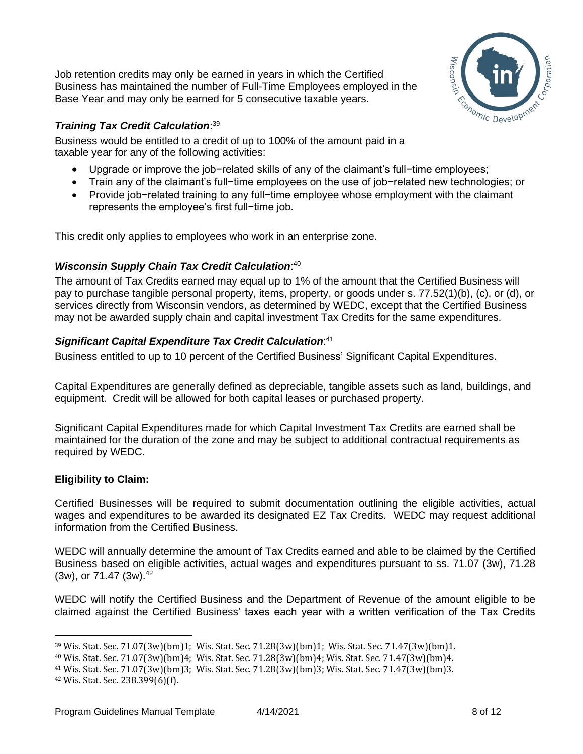Job retention credits may only be earned in years in which the Certified Business has maintained the number of Full-Time Employees employed in the Base Year and may only be earned for 5 consecutive taxable years.



#### *Training Tax Credit Calculation*: 39

Business would be entitled to a credit of up to 100% of the amount paid in a taxable year for any of the following activities:

- Upgrade or improve the job−related skills of any of the claimant's full−time employees;
- Train any of the claimant's full−time employees on the use of job−related new technologies; or
- Provide job−related training to any full−time employee whose employment with the claimant represents the employee's first full−time job.

This credit only applies to employees who work in an enterprise zone.

#### *Wisconsin Supply Chain Tax Credit Calculation*: 40

The amount of Tax Credits earned may equal up to 1% of the amount that the Certified Business will pay to purchase tangible personal property, items, property, or goods under s. 77.52(1)(b), (c), or (d), or services directly from Wisconsin vendors, as determined by WEDC, except that the Certified Business may not be awarded supply chain and capital investment Tax Credits for the same expenditures.

#### *Significant Capital Expenditure Tax Credit Calculation*: 41

Business entitled to up to 10 percent of the Certified Business' Significant Capital Expenditures.

Capital Expenditures are generally defined as depreciable, tangible assets such as land, buildings, and equipment. Credit will be allowed for both capital leases or purchased property.

Significant Capital Expenditures made for which Capital Investment Tax Credits are earned shall be maintained for the duration of the zone and may be subject to additional contractual requirements as required by WEDC.

#### **Eligibility to Claim:**

Certified Businesses will be required to submit documentation outlining the eligible activities, actual wages and expenditures to be awarded its designated EZ Tax Credits. WEDC may request additional information from the Certified Business.

WEDC will annually determine the amount of Tax Credits earned and able to be claimed by the Certified Business based on eligible activities, actual wages and expenditures pursuant to ss. 71.07 (3w), 71.28 (3w), or 71.47 (3w).<sup>42</sup>

WEDC will notify the Certified Business and the Department of Revenue of the amount eligible to be claimed against the Certified Business' taxes each year with a written verification of the Tax Credits

<sup>39</sup> Wis. Stat. Sec. 71.07(3w)(bm)1; Wis. Stat. Sec. 71.28(3w)(bm)1; Wis. Stat. Sec. 71.47(3w)(bm)1.

<sup>40</sup> Wis. Stat. Sec. 71.07(3w)(bm)4; Wis. Stat. Sec. 71.28(3w)(bm)4; Wis. Stat. Sec. 71.47(3w)(bm)4.

<sup>41</sup> Wis. Stat. Sec. 71.07(3w)(bm)3; Wis. Stat. Sec. 71.28(3w)(bm)3; Wis. Stat. Sec. 71.47(3w)(bm)3.

<sup>42</sup> Wis. Stat. Sec. 238.399(6)(f).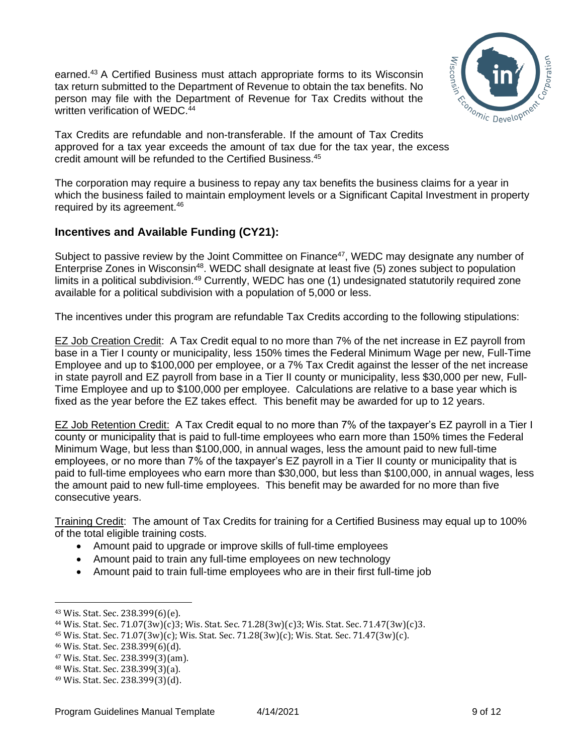earned.<sup>43</sup> A Certified Business must attach appropriate forms to its Wisconsin tax return submitted to the Department of Revenue to obtain the tax benefits. No person may file with the Department of Revenue for Tax Credits without the written verification of WEDC.<sup>44</sup>



Tax Credits are refundable and non-transferable. If the amount of Tax Credits approved for a tax year exceeds the amount of tax due for the tax year, the excess credit amount will be refunded to the Certified Business. 45

The corporation may require a business to repay any tax benefits the business claims for a year in which the business failed to maintain employment levels or a Significant Capital Investment in property required by its agreement. 46

# **Incentives and Available Funding (CY21):**

Subject to passive review by the Joint Committee on Finance<sup>47</sup>, WEDC may designate any number of Enterprise Zones in Wisconsin<sup>48</sup>. WEDC shall designate at least five (5) zones subject to population limits in a political subdivision.<sup>49</sup> Currently, WEDC has one (1) undesignated statutorily required zone available for a political subdivision with a population of 5,000 or less.

The incentives under this program are refundable Tax Credits according to the following stipulations:

EZ Job Creation Credit: A Tax Credit equal to no more than 7% of the net increase in EZ payroll from base in a Tier I county or municipality, less 150% times the Federal Minimum Wage per new, Full-Time Employee and up to \$100,000 per employee, or a 7% Tax Credit against the lesser of the net increase in state payroll and EZ payroll from base in a Tier II county or municipality, less \$30,000 per new, Full-Time Employee and up to \$100,000 per employee. Calculations are relative to a base year which is fixed as the year before the EZ takes effect. This benefit may be awarded for up to 12 years.

EZ Job Retention Credit: A Tax Credit equal to no more than 7% of the taxpayer's EZ payroll in a Tier I county or municipality that is paid to full-time employees who earn more than 150% times the Federal Minimum Wage, but less than \$100,000, in annual wages, less the amount paid to new full-time employees, or no more than 7% of the taxpayer's EZ payroll in a Tier II county or municipality that is paid to full-time employees who earn more than \$30,000, but less than \$100,000, in annual wages, less the amount paid to new full-time employees. This benefit may be awarded for no more than five consecutive years.

Training Credit: The amount of Tax Credits for training for a Certified Business may equal up to 100% of the total eligible training costs.

- Amount paid to upgrade or improve skills of full-time employees
- Amount paid to train any full-time employees on new technology
- Amount paid to train full-time employees who are in their first full-time job

<sup>43</sup> Wis. Stat. Sec. 238.399(6)(e).

<sup>44</sup> Wis. Stat. Sec. 71.07(3w)(c)3; Wis. Stat. Sec. 71.28(3w)(c)3; Wis. Stat. Sec. 71.47(3w)(c)3.

<sup>45</sup> Wis. Stat. Sec. 71.07(3w)(c); Wis. Stat. Sec. 71.28(3w)(c); Wis. Stat. Sec. 71.47(3w)(c).

<sup>46</sup> Wis. Stat. Sec. 238.399(6)(d).

<sup>47</sup> Wis. Stat. Sec. 238.399(3)(am).

<sup>48</sup> Wis. Stat. Sec. 238.399(3)(a).

<sup>49</sup> Wis. Stat. Sec. 238.399(3)(d).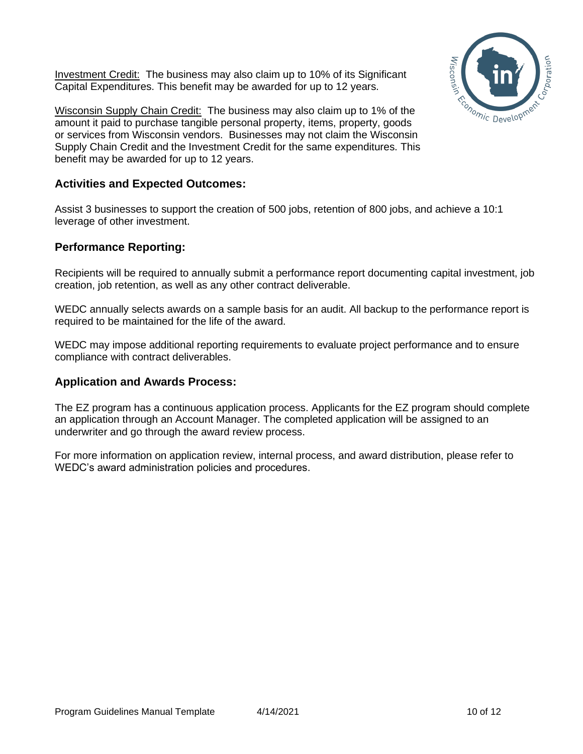Investment Credit: The business may also claim up to 10% of its Significant Capital Expenditures. This benefit may be awarded for up to 12 years.



Wisconsin Supply Chain Credit: The business may also claim up to 1% of the amount it paid to purchase tangible personal property, items, property, goods or services from Wisconsin vendors. Businesses may not claim the Wisconsin Supply Chain Credit and the Investment Credit for the same expenditures. This benefit may be awarded for up to 12 years.

## **Activities and Expected Outcomes:**

Assist 3 businesses to support the creation of 500 jobs, retention of 800 jobs, and achieve a 10:1 leverage of other investment.

# **Performance Reporting:**

Recipients will be required to annually submit a performance report documenting capital investment, job creation, job retention, as well as any other contract deliverable.

WEDC annually selects awards on a sample basis for an audit. All backup to the performance report is required to be maintained for the life of the award.

WEDC may impose additional reporting requirements to evaluate project performance and to ensure compliance with contract deliverables.

#### **Application and Awards Process:**

The EZ program has a continuous application process. Applicants for the EZ program should complete an application through an Account Manager. The completed application will be assigned to an underwriter and go through the award review process.

For more information on application review, internal process, and award distribution, please refer to WEDC's award administration policies and procedures.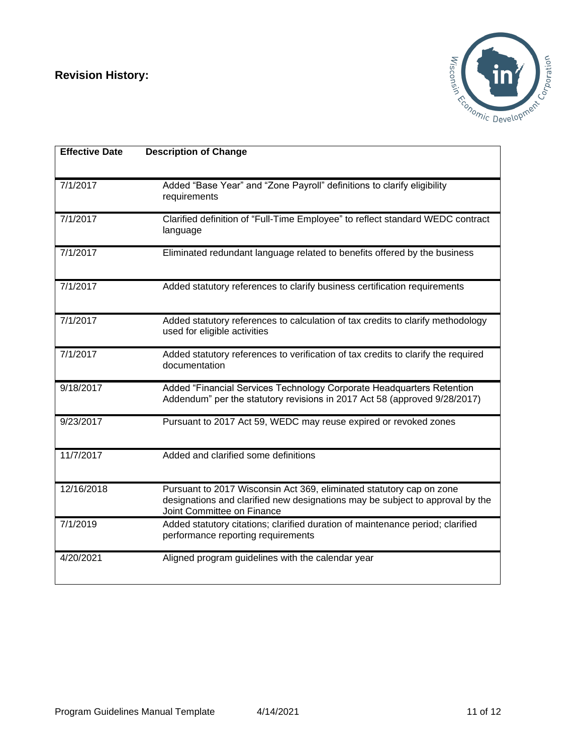

| <b>Effective Date</b> | <b>Description of Change</b>                                                                                                                                                        |  |  |  |
|-----------------------|-------------------------------------------------------------------------------------------------------------------------------------------------------------------------------------|--|--|--|
| 7/1/2017              | Added "Base Year" and "Zone Payroll" definitions to clarify eligibility<br>requirements                                                                                             |  |  |  |
| 7/1/2017              | Clarified definition of "Full-Time Employee" to reflect standard WEDC contract<br>language                                                                                          |  |  |  |
| 7/1/2017              | Eliminated redundant language related to benefits offered by the business                                                                                                           |  |  |  |
| 7/1/2017              | Added statutory references to clarify business certification requirements                                                                                                           |  |  |  |
| 7/1/2017              | Added statutory references to calculation of tax credits to clarify methodology<br>used for eligible activities                                                                     |  |  |  |
| 7/1/2017              | Added statutory references to verification of tax credits to clarify the required<br>documentation                                                                                  |  |  |  |
| 9/18/2017             | Added "Financial Services Technology Corporate Headquarters Retention<br>Addendum" per the statutory revisions in 2017 Act 58 (approved 9/28/2017)                                  |  |  |  |
| 9/23/2017             | Pursuant to 2017 Act 59, WEDC may reuse expired or revoked zones                                                                                                                    |  |  |  |
| 11/7/2017             | Added and clarified some definitions                                                                                                                                                |  |  |  |
| 12/16/2018            | Pursuant to 2017 Wisconsin Act 369, eliminated statutory cap on zone<br>designations and clarified new designations may be subject to approval by the<br>Joint Committee on Finance |  |  |  |
| 7/1/2019              | Added statutory citations; clarified duration of maintenance period; clarified<br>performance reporting requirements                                                                |  |  |  |
| 4/20/2021             | Aligned program guidelines with the calendar year                                                                                                                                   |  |  |  |